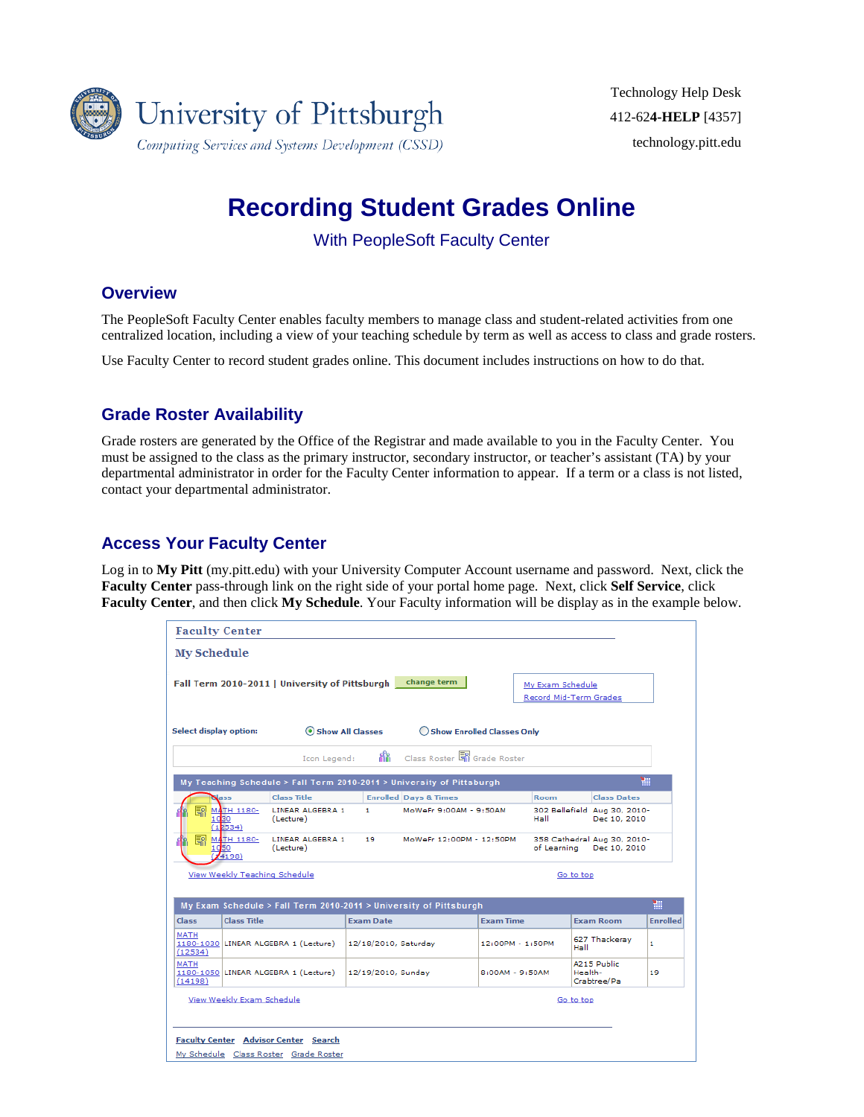

# **Recording Student Grades Online**

With PeopleSoft Faculty Center

### **Overview**

The PeopleSoft Faculty Center enables faculty members to manage class and student-related activities from one centralized location, including a view of your teaching schedule by term as well as access to class and grade rosters.

Use Faculty Center to record student grades online. This document includes instructions on how to do that.

## **Grade Roster Availability**

Grade rosters are generated by the Office of the Registrar and made available to you in the Faculty Center. You must be assigned to the class as the primary instructor, secondary instructor, or teacher's assistant (TA) by your departmental administrator in order for the Faculty Center information to appear. If a term or a class is not listed, contact your departmental administrator.

## **Access Your Faculty Center**

Log in to **My Pitt** (my.pitt.edu) with your University Computer Account username and password. Next, click the **Faculty Center** pass-through link on the right side of your portal home page. Next, click **Self Service**, click **Faculty Center**, and then click **My Schedule**. Your Faculty information will be display as in the example below.

| <b>Faculty Center</b>         |                                      |                                                                                      |                  |                                                                       |                                   |                   |                                              |                 |
|-------------------------------|--------------------------------------|--------------------------------------------------------------------------------------|------------------|-----------------------------------------------------------------------|-----------------------------------|-------------------|----------------------------------------------|-----------------|
| <b>My Schedule</b>            |                                      |                                                                                      |                  |                                                                       |                                   |                   |                                              |                 |
|                               |                                      | Fall Term 2010-2011   University of Pittsburgh                                       |                  | change term                                                           |                                   | My Exam Schedule  | Record Mid-Term Grades                       |                 |
| <b>Select display option:</b> |                                      | Show All Classes                                                                     |                  |                                                                       | <b>Show Enrolled Classes Only</b> |                   |                                              |                 |
|                               |                                      | Icon Legend:                                                                         | я'n.             | Class Roster <b>S</b> il Grade Roster                                 |                                   |                   |                                              |                 |
|                               |                                      |                                                                                      |                  | My Teaching Schedule > Fall Term 2010-2011 > University of Pittsburgh |                                   |                   |                                              | ₩               |
|                               | lass                                 | <b>Class Title</b>                                                                   |                  | <b>Enrolled Days &amp; Times</b>                                      |                                   | <b>Room</b>       | <b>Class Dates</b>                           |                 |
| ER                            | <b>MATH 1180-</b><br>1030<br>(12534) | LINEAR ALGEBRA 1<br>(Lecture)                                                        | $\mathbf{1}$     | MoWeFr 9:00AM - 9:50AM                                                |                                   | Hall              | 302 Bellefield Aug 30, 2010-<br>Dec 10, 2010 |                 |
| R                             | <b>MATH 1180-</b><br>1050<br>(4198)  | LINEAR ALGEBRA 1<br>(Lecture)                                                        | 19               | MoWeFr 12:00PM - 12:50PM                                              |                                   | of Learning       | 358 Cathedral Aug 30, 2010-<br>Dec 10, 2010  |                 |
|                               | View Weekly Teaching Schedule        |                                                                                      |                  |                                                                       |                                   |                   | Go to top                                    |                 |
|                               |                                      |                                                                                      |                  | My Exam Schedule > Fall Term 2010-2011 > University of Pittsburgh     |                                   |                   |                                              | 褞               |
| <b>Class</b>                  | <b>Class Title</b>                   |                                                                                      | <b>Exam Date</b> |                                                                       | <b>Exam Time</b>                  |                   | <b>Exam Room</b>                             | <b>Enrolled</b> |
| <b>MATH</b><br>(12534)        |                                      | 1180-1030 LINEAR ALGEBRA 1 (Lecture)                                                 |                  | 12/18/2010, Saturday                                                  |                                   | 12:00PM - 1:50PM  | 627 Thackeray<br>Hall                        | 1.              |
| <b>MATH</b><br>(14198)        |                                      | 1180-1050 LINEAR ALGEBRA 1 (Lecture)                                                 |                  | 12/19/2010, Sunday                                                    |                                   | $8:00AM - 9:50AM$ | A215 Public<br>Health-<br>Crabtree/Pa        | 19              |
|                               | View Weekly Exam Schedule            |                                                                                      |                  |                                                                       |                                   |                   | Go to top                                    |                 |
|                               |                                      | <b>Faculty Center Advisor Center Search</b><br>My Schedule Class Roster Grade Roster |                  |                                                                       |                                   |                   |                                              |                 |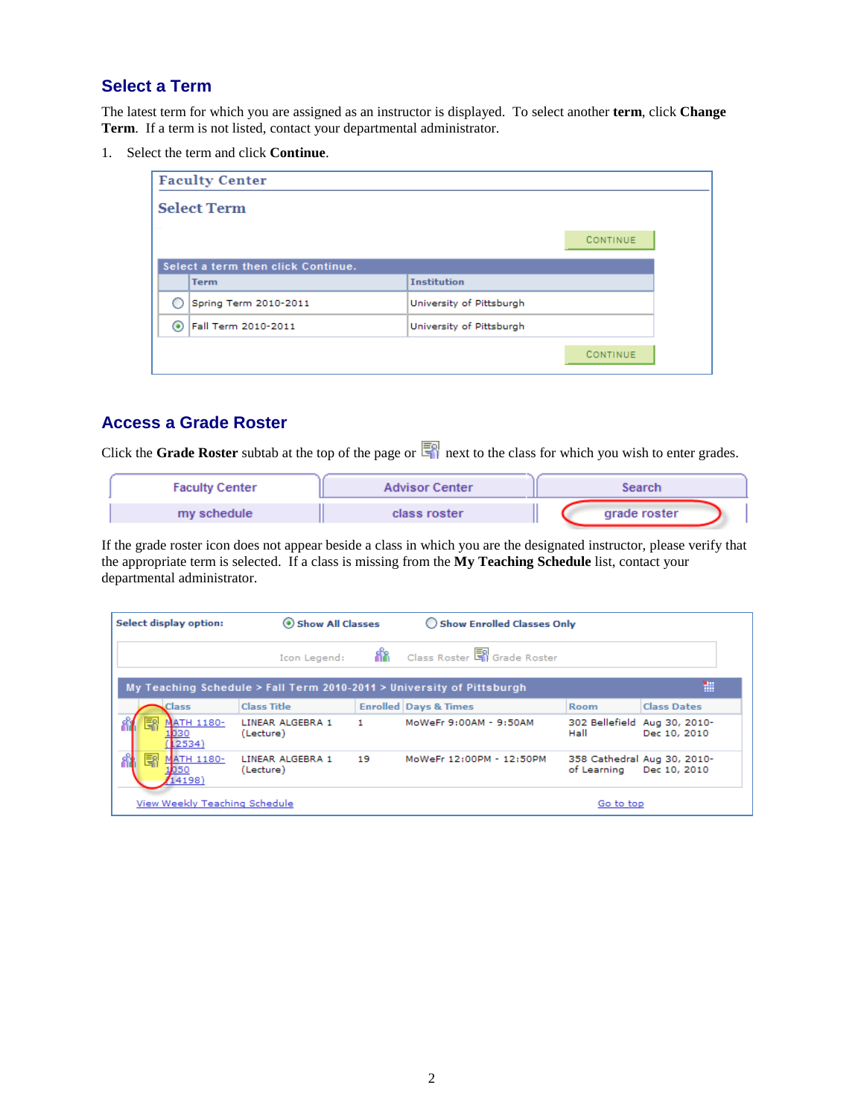# **Select a Term**

The latest term for which you are assigned as an instructor is displayed. To select another **term**, click **Change Term**. If a term is not listed, contact your departmental administrator.

1. Select the term and click **Continue**.

|   | <b>Faculty Center</b>              |                          |          |
|---|------------------------------------|--------------------------|----------|
|   | <b>Select Term</b>                 |                          |          |
|   |                                    |                          | CONTINUE |
|   | Select a term then click Continue. |                          |          |
|   | <b>Term</b>                        | <b>Institution</b>       |          |
|   | Spring Term 2010-2011              | University of Pittsburgh |          |
| ⊙ | Fall Term 2010-2011                | University of Pittsburgh |          |
|   |                                    |                          | CONTINUE |

#### **Access a Grade Roster**

Click the **Grade Roster** subtab at the top of the page or  $\frac{1}{2}$  next to the class for which you wish to enter grades.

| <b>Faculty Center</b> | <b>Advisor Center</b> | Search       |
|-----------------------|-----------------------|--------------|
| my schedule           | class roster          | grade roster |

If the grade roster icon does not appear beside a class in which you are the designated instructor, please verify that the appropriate term is selected. If a class is missing from the **My Teaching Schedule** list, contact your departmental administrator.

| <b>Select display option:</b>     | Show All Classes              |     | ◯ Show Enrolled Classes Only                                          |                          |                                              |
|-----------------------------------|-------------------------------|-----|-----------------------------------------------------------------------|--------------------------|----------------------------------------------|
|                                   | Icon Legend:                  | 88. | Class Roster <b>S</b> Grade Roster                                    |                          |                                              |
|                                   |                               |     | My Teaching Schedule > Fall Term 2010-2011 > University of Pittsburgh |                          | 讍                                            |
| Class                             | <b>Class Title</b>            |     | <b>Enrolled Days &amp; Times</b>                                      | <b>Room</b>              | <b>Class Dates</b>                           |
| R<br><b>ATH 1180-</b><br>(2534)   | LINEAR ALGEBRA 1<br>(Lecture) | 1.  | MoWeFr 9:00AM - 9:50AM                                                | Hall                     | 302 Bellefield Aug 30, 2010-<br>Dec 10, 2010 |
| 團<br><b>MATH 1180-</b><br>(14198) | LINEAR ALGEBRA 1<br>(Lecture) | 19  | MoWeFr 12:00PM - 12:50PM                                              | of Learning Dec 10, 2010 | 358 Cathedral Aug 30, 2010-                  |
| View Weekly Teaching Schedule     |                               |     |                                                                       | Go to top                |                                              |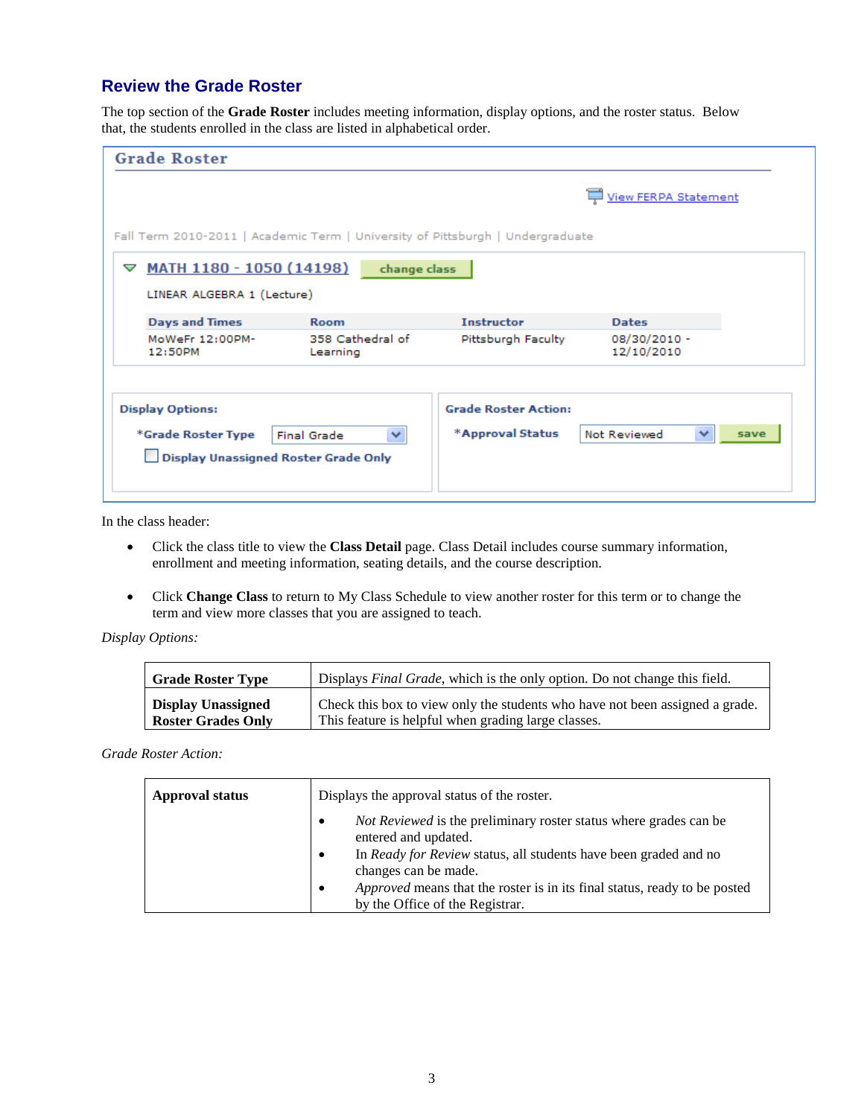## **Review the Grade Roster**

The top section of the **Grade Roster** includes meeting information, display options, and the roster status. Below that, the students enrolled in the class are listed in alphabetical order.

| <b>Grade Roster</b>                                                                   |                                    |                                                 |                             |      |
|---------------------------------------------------------------------------------------|------------------------------------|-------------------------------------------------|-----------------------------|------|
|                                                                                       |                                    |                                                 | <b>View FERPA Statement</b> |      |
| Fall Term 2010-2011   Academic Term   University of Pittsburgh   Undergraduate        |                                    |                                                 |                             |      |
| MATH 1180 - 1050 (14198)<br>▽<br>LINEAR ALGEBRA 1 (Lecture)                           | change class                       |                                                 |                             |      |
| <b>Days and Times</b>                                                                 | <b>Room</b>                        | <b>Instructor</b>                               | <b>Dates</b>                |      |
| MoWeFr 12:00PM-<br>12:50PM                                                            | 358 Cathedral of<br>Learning       | Pittsburgh Faculty                              | 08/30/2010 -<br>12/10/2010  |      |
| <b>Display Options:</b><br>*Grade Roster Type<br>Display Unassigned Roster Grade Only | $\checkmark$<br><b>Final Grade</b> | <b>Grade Roster Action:</b><br>*Approval Status | ×<br>Not Reviewed           | save |

In the class header:

- Click the class title to view the **Class Detail** page. Class Detail includes course summary information, enrollment and meeting information, seating details, and the course description.
- Click **Change Class** to return to My Class Schedule to view another roster for this term or to change the term and view more classes that you are assigned to teach.

*Display Options:*

| <b>Grade Roster Type</b>  | Displays Final Grade, which is the only option. Do not change this field.    |
|---------------------------|------------------------------------------------------------------------------|
| Display Unassigned        | Check this box to view only the students who have not been assigned a grade. |
| <b>Roster Grades Only</b> | This feature is helpful when grading large classes.                          |

*Grade Roster Action:*

| <b>Approval status</b> | Displays the approval status of the roster.                                                                                                                                                                                                                                                                                                       |
|------------------------|---------------------------------------------------------------------------------------------------------------------------------------------------------------------------------------------------------------------------------------------------------------------------------------------------------------------------------------------------|
|                        | <i>Not Reviewed</i> is the preliminary roster status where grades can be<br>٠<br>entered and updated.<br>In <i>Ready for Review</i> status, all students have been graded and no<br>$\bullet$<br>changes can be made.<br><i>Approved</i> means that the roster is in its final status, ready to be posted<br>٠<br>by the Office of the Registrar. |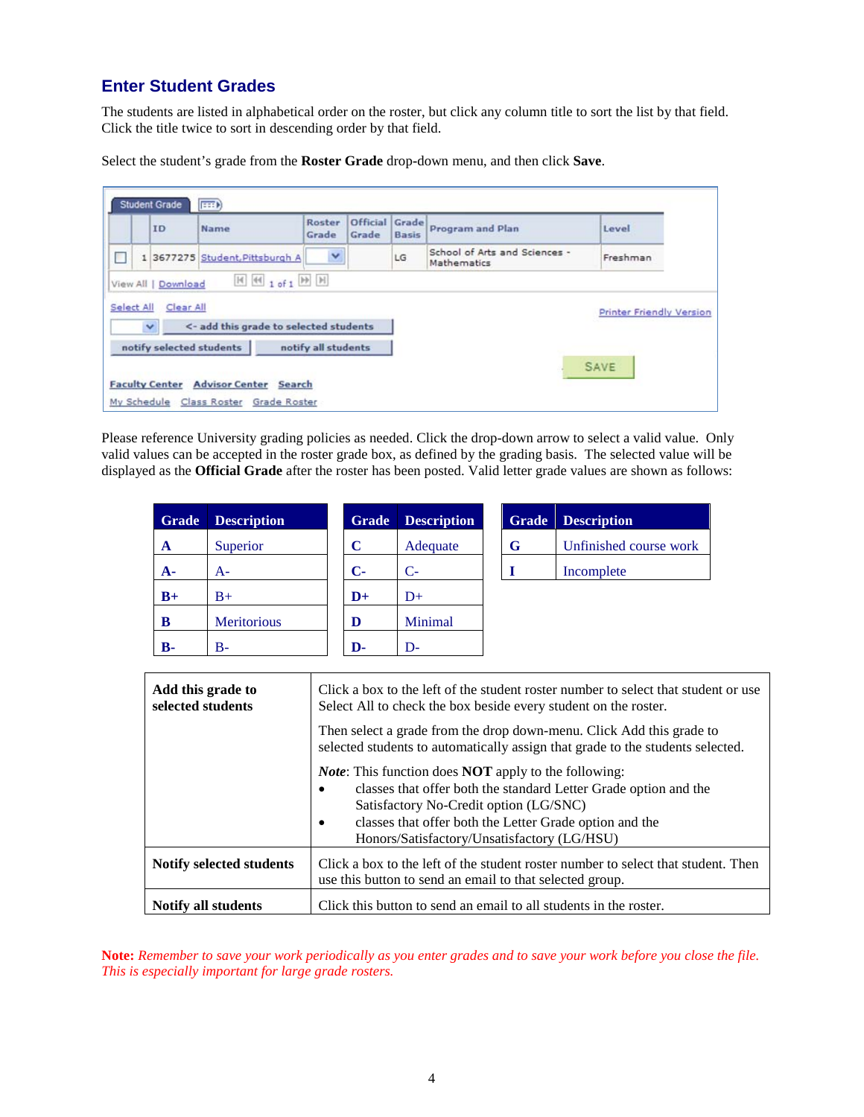## **Enter Student Grades**

The students are listed in alphabetical order on the roster, but click any column title to sort the list by that field. Click the title twice to sort in descending order by that field.

Select the student's grade from the **Roster Grade** drop**-**down menu, and then click **Save**.

|            | <b>Student Grade</b>                              | F                                        |                     |                         |              |                                              |                          |
|------------|---------------------------------------------------|------------------------------------------|---------------------|-------------------------|--------------|----------------------------------------------|--------------------------|
|            | ID                                                | Name                                     | Roster<br>Grade     | Official Grade<br>Grade | <b>Basis</b> | <b>Program and Plan</b>                      | Level                    |
|            |                                                   | 1 3677275 Student, Pittsburgh A          | Y                   |                         | LG           | School of Arts and Sciences -<br>Mathematics | Freshman                 |
| Select All | View All   Download<br>Clear All<br>$\checkmark$  | <- add this grade to selected students   |                     |                         |              |                                              | Printer Friendly Version |
|            | notify selected students<br><b>Faculty Center</b> | <b>Advisor Center</b><br>Search          | notify all students |                         |              |                                              | <b>SAVE</b>              |
|            |                                                   | My Schedule Class Roster<br>Grade Roster |                     |                         |              |                                              |                          |

Please reference University grading policies as needed. Click the drop-down arrow to select a valid value. Only valid values can be accepted in the roster grade box, as defined by the grading basis. The selected value will be displayed as the **Official Grade** after the roster has been posted. Valid letter grade values are shown as follows:

| Grade       | <b>Description</b> | <b>Grade</b>  | <b>Description</b> | Grade | <b>Description</b>     |
|-------------|--------------------|---------------|--------------------|-------|------------------------|
| A           | Superior           | C             | Adequate           | G     | Unfinished course work |
| ${\bf A}$ - | A-                 | $C-$          | $C-$               |       | Incomplete             |
| $B+$        | $B+$               | $\mathbf{D}+$ | $D+$               |       |                        |
| В           | <b>Meritorious</b> | D             | Minimal            |       |                        |
| В-          | B-                 | D-            | D-                 |       |                        |

| Add this grade to<br>selected students | Click a box to the left of the student roster number to select that student or use<br>Select All to check the box beside every student on the roster.                                                                                                                                                   |
|----------------------------------------|---------------------------------------------------------------------------------------------------------------------------------------------------------------------------------------------------------------------------------------------------------------------------------------------------------|
|                                        | Then select a grade from the drop down-menu. Click Add this grade to<br>selected students to automatically assign that grade to the students selected.                                                                                                                                                  |
|                                        | <i>Note:</i> This function does <b>NOT</b> apply to the following:<br>classes that offer both the standard Letter Grade option and the<br>Satisfactory No-Credit option (LG/SNC)<br>classes that offer both the Letter Grade option and the<br>$\bullet$<br>Honors/Satisfactory/Unsatisfactory (LG/HSU) |
| <b>Notify selected students</b>        | Click a box to the left of the student roster number to select that student. Then<br>use this button to send an email to that selected group.                                                                                                                                                           |
| <b>Notify all students</b>             | Click this button to send an email to all students in the roster.                                                                                                                                                                                                                                       |

**Note:** *Remember to save your work periodically as you enter grades and to save your work before you close the file. This is especially important for large grade rosters.*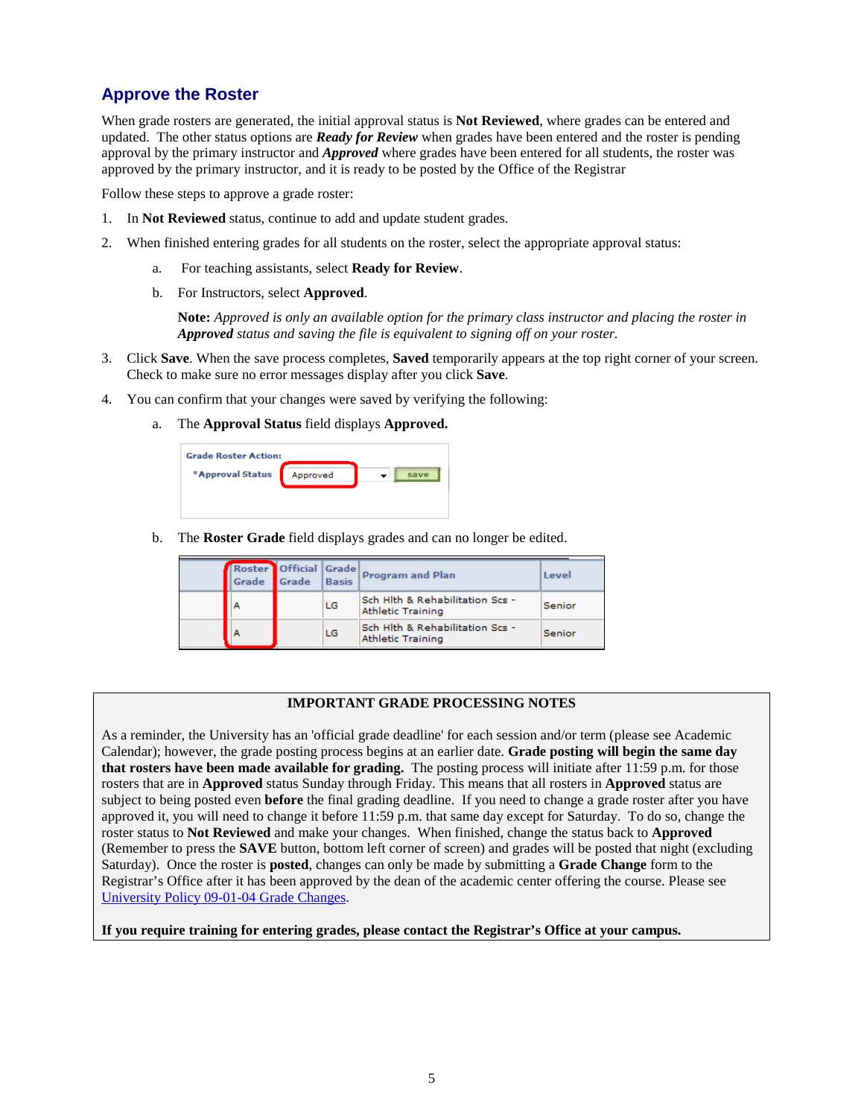## **Approve the Roster**

When grade rosters are generated, the initial approval status is **Not Reviewed**, where grades can be entered and updated. The other status options are *Ready for Review* when grades have been entered and the roster is pending approval by the primary instructor and *Approved* where grades have been entered for all students, the roster was approved by the primary instructor, and it is ready to be posted by the Office of the Registrar

Follow these steps to approve a grade roster:

- 1. In **Not Reviewed** status, continue to add and update student grades.
- 2. When finished entering grades for all students on the roster, select the appropriate approval status:
	- a. For teaching assistants, select **Ready for Review**.
	- b. For Instructors, select **Approved**.

**Note:** *Approved is only an available option for the primary class instructor and placing the roster in Approved status and saving the file is equivalent to signing off on your roster.*

- 3. Click **Save**. When the save process completes, **Saved** temporarily appears at the top right corner of your screen. Check to make sure no error messages display after you click **Save**.
- 4. You can confirm that your changes were saved by verifying the following:
	- a. The **Approval Status** field displays **Approved.**

b. The **Roster Grade** field displays grades and can no longer be edited.

| Grade | Roster   Official   Grade  <br>Grade | Basis | <b>Program and Plan</b>                                     | Level  |
|-------|--------------------------------------|-------|-------------------------------------------------------------|--------|
| Α     |                                      | LG    | Sch Hlth & Rehabilitation Scs -<br><b>Athletic Training</b> | Senior |
| A     |                                      | LG    | Sch Hlth & Rehabilitation Scs -<br><b>Athletic Training</b> | Senior |

#### **IMPORTANT GRADE PROCESSING NOTES**

As a reminder, the University has an 'official grade deadline' for each session and/or term (please see Academic Calendar); however, the grade posting process begins at an earlier date. **Grade posting will begin the same day that rosters have been made available for grading.** The posting process will initiate after 11:59 p.m. for those rosters that are in **Approved** status Sunday through Friday. This means that all rosters in **Approved** status are subject to being posted even **before** the final grading deadline. If you need to change a grade roster after you have approved it, you will need to change it before 11:59 p.m. that same day except for Saturday. To do so, change the roster status to **Not Reviewed** and make your changes. When finished, change the status back to **Approved**  (Remember to press the **SAVE** button, bottom left corner of screen) and grades will be posted that night (excluding Saturday). Once the roster is **posted**, changes can only be made by submitting a **Grade Change** form to the Registrar's Office after it has been approved by the dean of the academic center offering the course. Please see [University Policy 09-01-04 Grade Changes.](http://www.bc.pitt.edu/policies/policy/09/09-01-04.html)

**If you require training for entering grades, please contact the Registrar's Office at your campus.**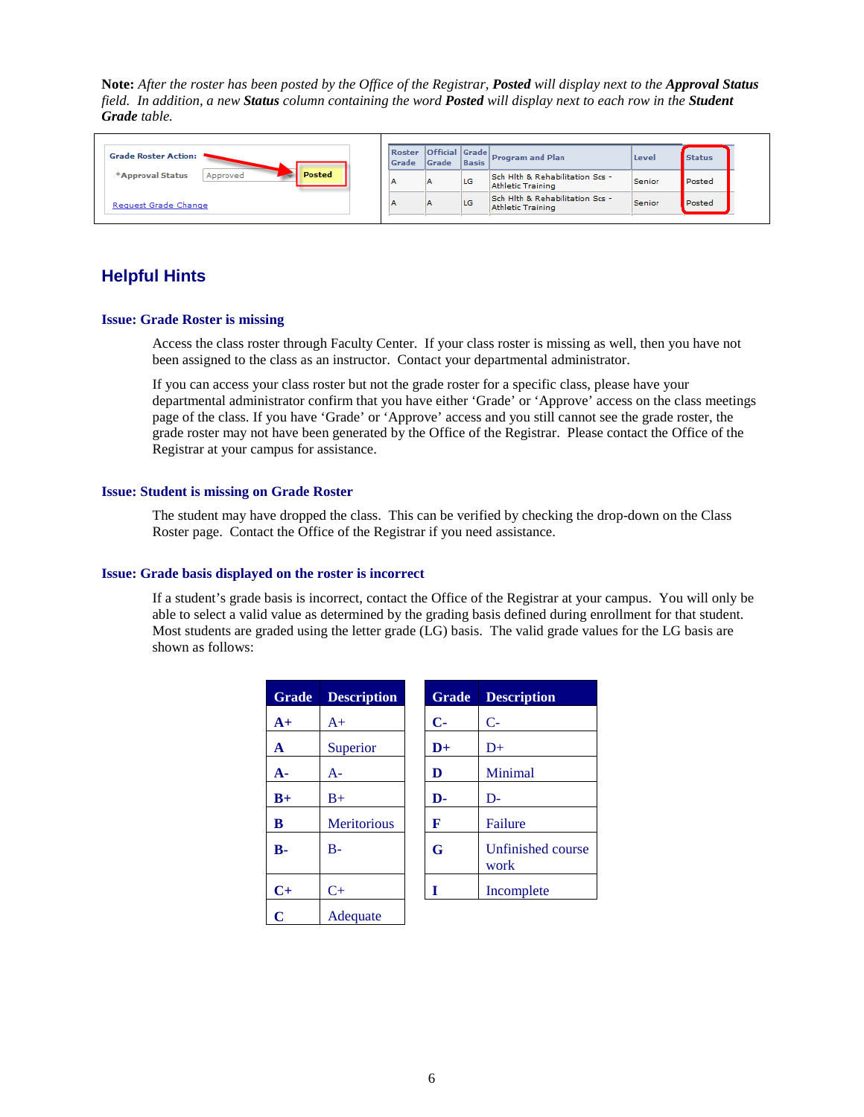**Note:** *After the roster has been posted by the Office of the Registrar, Posted will display next to the Approval Status field. In addition, a new Status column containing the word Posted will display next to each row in the Student Grade table.*



### **Helpful Hints**

#### **Issue: Grade Roster is missing**

Access the class roster through Faculty Center. If your class roster is missing as well, then you have not been assigned to the class as an instructor. Contact your departmental administrator.

If you can access your class roster but not the grade roster for a specific class, please have your departmental administrator confirm that you have either 'Grade' or 'Approve' access on the class meetings page of the class. If you have 'Grade' or 'Approve' access and you still cannot see the grade roster, the grade roster may not have been generated by the Office of the Registrar. Please contact the Office of the Registrar at your campus for assistance.

#### **Issue: Student is missing on Grade Roster**

The student may have dropped the class. This can be verified by checking the drop-down on the Class Roster page. Contact the Office of the Registrar if you need assistance.

#### **Issue: Grade basis displayed on the roster is incorrect**

If a student's grade basis is incorrect, contact the Office of the Registrar at your campus. You will only be able to select a valid value as determined by the grading basis defined during enrollment for that student. Most students are graded using the letter grade (LG) basis. The valid grade values for the LG basis are shown as follows:

| <b>Grade</b> | <b>Description</b> | <b>Grade</b>  | <b>Description</b>        |
|--------------|--------------------|---------------|---------------------------|
| $A+$         | $A+$               | $\mathbf{C}$  | $C-$                      |
| A            | Superior           | $\mathbf{D}+$ | $D+$                      |
| $A -$        | А-                 | D             | Minimal                   |
| $B+$         | $B+$               | D-            | $D-$                      |
| B            | <b>Meritorious</b> | F             | Failure                   |
| $B -$        | $B-$               | G             | Unfinished course<br>work |
| $C+$         | $C+$               | T             | Incomplete                |
| C            | Adequate           |               |                           |